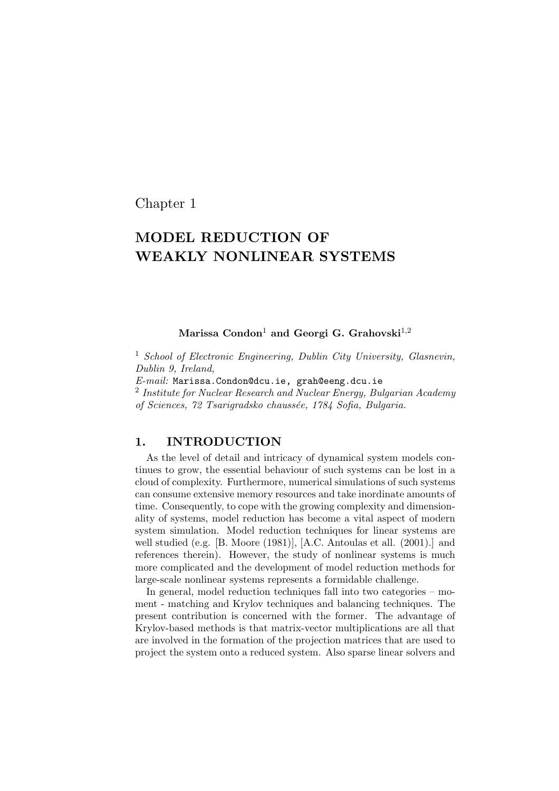Chapter 1

# MODEL REDUCTION OF WEAKLY NONLINEAR SYSTEMS

#### Marissa Condon<sup>1</sup> and Georgi G. Grahovski<sup>1,2</sup>

<sup>1</sup> School of Electronic Engineering, Dublin City University, Glasnevin, Dublin 9, Ireland,

E-mail: Marissa.Condon@dcu.ie, grah@eeng.dcu.ie

2 Institute for Nuclear Research and Nuclear Energy, Bulgarian Academy of Sciences, 72 Tsarigradsko chaussée, 1784 Sofia, Bulgaria.

## 1. INTRODUCTION

As the level of detail and intricacy of dynamical system models continues to grow, the essential behaviour of such systems can be lost in a cloud of complexity. Furthermore, numerical simulations of such systems can consume extensive memory resources and take inordinate amounts of time. Consequently, to cope with the growing complexity and dimensionality of systems, model reduction has become a vital aspect of modern system simulation. Model reduction techniques for linear systems are well studied (e.g. [B. Moore (1981)], [A.C. Antoulas et all. (2001).] and references therein). However, the study of nonlinear systems is much more complicated and the development of model reduction methods for large-scale nonlinear systems represents a formidable challenge.

In general, model reduction techniques fall into two categories – moment - matching and Krylov techniques and balancing techniques. The present contribution is concerned with the former. The advantage of Krylov-based methods is that matrix-vector multiplications are all that are involved in the formation of the projection matrices that are used to project the system onto a reduced system. Also sparse linear solvers and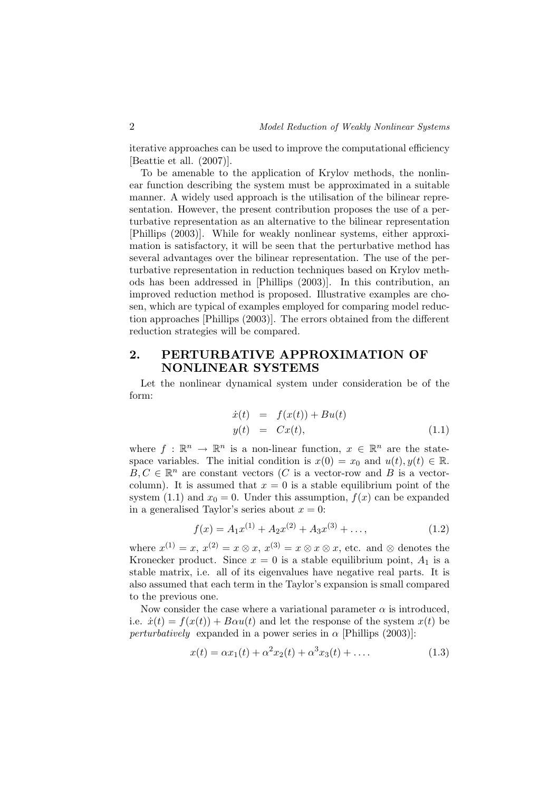iterative approaches can be used to improve the computational efficiency [Beattie et all. (2007)].

To be amenable to the application of Krylov methods, the nonlinear function describing the system must be approximated in a suitable manner. A widely used approach is the utilisation of the bilinear representation. However, the present contribution proposes the use of a perturbative representation as an alternative to the bilinear representation [Phillips (2003)]. While for weakly nonlinear systems, either approximation is satisfactory, it will be seen that the perturbative method has several advantages over the bilinear representation. The use of the perturbative representation in reduction techniques based on Krylov methods has been addressed in [Phillips (2003)]. In this contribution, an improved reduction method is proposed. Illustrative examples are chosen, which are typical of examples employed for comparing model reduction approaches [Phillips (2003)]. The errors obtained from the different reduction strategies will be compared.

## 2. PERTURBATIVE APPROXIMATION OF NONLINEAR SYSTEMS

Let the nonlinear dynamical system under consideration be of the form:

$$
\begin{array}{rcl}\n\dot{x}(t) & = & f(x(t)) + Bu(t) \\
y(t) & = & Cx(t),\n\end{array} \tag{1.1}
$$

where  $f : \mathbb{R}^n \to \mathbb{R}^n$  is a non-linear function,  $x \in \mathbb{R}^n$  are the statespace variables. The initial condition is  $x(0) = x_0$  and  $u(t), y(t) \in \mathbb{R}$ .  $B, C \in \mathbb{R}^n$  are constant vectors (C is a vector-row and B is a vectorcolumn). It is assumed that  $x = 0$  is a stable equilibrium point of the system (1.1) and  $x_0 = 0$ . Under this assumption,  $f(x)$  can be expanded in a generalised Taylor's series about  $x = 0$ :

$$
f(x) = A_1 x^{(1)} + A_2 x^{(2)} + A_3 x^{(3)} + \dots,
$$
 (1.2)

where  $x^{(1)} = x, x^{(2)} = x \otimes x, x^{(3)} = x \otimes x \otimes x$ , etc. and  $\otimes$  denotes the Kronecker product. Since  $x = 0$  is a stable equilibrium point,  $A_1$  is a stable matrix, i.e. all of its eigenvalues have negative real parts. It is also assumed that each term in the Taylor's expansion is small compared to the previous one.

Now consider the case where a variational parameter  $\alpha$  is introduced, i.e.  $\dot{x}(t) = f(x(t)) + B\alpha u(t)$  and let the response of the system  $x(t)$  be perturbatively expanded in a power series in  $\alpha$  [Phillips (2003)]:

$$
x(t) = \alpha x_1(t) + \alpha^2 x_2(t) + \alpha^3 x_3(t) + \dots
$$
 (1.3)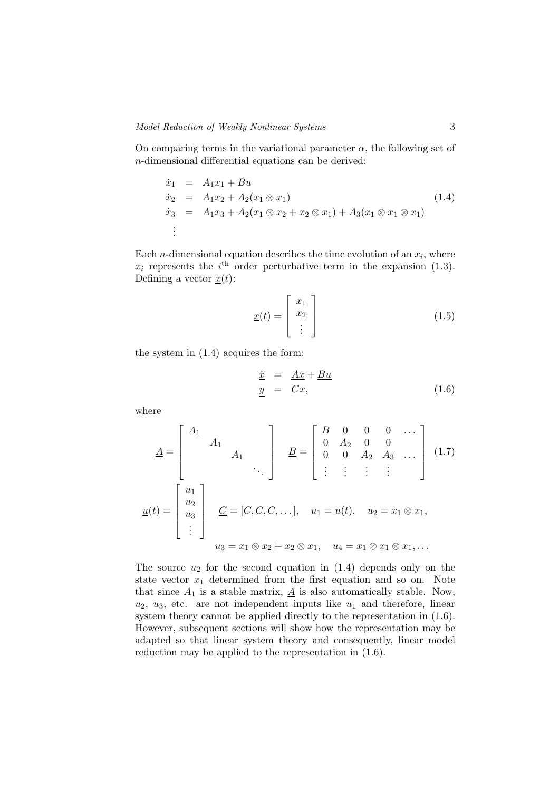On comparing terms in the variational parameter  $\alpha$ , the following set of n-dimensional differential equations can be derived:

$$
\dot{x}_1 = A_1 x_1 + B u \n\dot{x}_2 = A_1 x_2 + A_2 (x_1 \otimes x_1) \n\dot{x}_3 = A_1 x_3 + A_2 (x_1 \otimes x_2 + x_2 \otimes x_1) + A_3 (x_1 \otimes x_1 \otimes x_1) \n\vdots
$$
\n(1.4)

Each *n*-dimensional equation describes the time evolution of an  $x_i$ , where  $x_i$  represents the  $i<sup>th</sup>$  order perturbative term in the expansion (1.3). Defining a vector  $x(t)$ :

$$
\underline{x}(t) = \begin{bmatrix} x_1 \\ x_2 \\ \vdots \end{bmatrix} \tag{1.5}
$$

the system in (1.4) acquires the form:

$$
\begin{array}{rcl}\n\dot{x} & = & \underline{Ax} + \underline{Bu} \\
\underline{y} & = & \underline{Cx},\n\end{array} \n\tag{1.6}
$$

where

$$
\underline{A} = \begin{bmatrix} A_1 & & & \\ & A_1 & & \\ & & A_1 & \\ & & & \ddots \end{bmatrix} \quad \underline{B} = \begin{bmatrix} B & 0 & 0 & 0 & \cdots \\ 0 & A_2 & 0 & 0 & \\ 0 & 0 & A_2 & A_3 & \cdots \\ \vdots & \vdots & \vdots & \vdots & \vdots \end{bmatrix} \quad (1.7)
$$

$$
\underline{u}(t) = \begin{bmatrix} u_1 \\ u_2 \\ u_3 \\ \vdots \end{bmatrix} \quad \underline{C} = [C, C, C, \dots], \quad u_1 = u(t), \quad u_2 = x_1 \otimes x_1,
$$

$$
u_3 = x_1 \otimes x_2 + x_2 \otimes x_1, \quad u_4 = x_1 \otimes x_1 \otimes x_1, \dots
$$

The source  $u_2$  for the second equation in  $(1.4)$  depends only on the state vector  $x_1$  determined from the first equation and so on. Note that since  $A_1$  is a stable matrix,  $\underline{A}$  is also automatically stable. Now,  $u_2, u_3$ , etc. are not independent inputs like  $u_1$  and therefore, linear system theory cannot be applied directly to the representation in  $(1.6)$ . However, subsequent sections will show how the representation may be adapted so that linear system theory and consequently, linear model reduction may be applied to the representation in (1.6).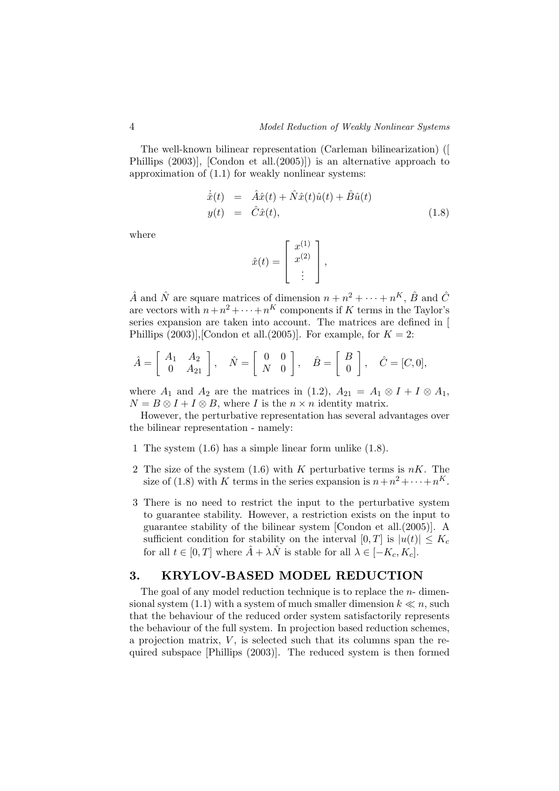The well-known bilinear representation (Carleman bilinearization) ([ Phillips (2003)], [Condon et all.(2005)]) is an alternative approach to approximation of (1.1) for weakly nonlinear systems:

$$
\dot{\hat{x}}(t) = \hat{A}\hat{x}(t) + \hat{N}\hat{x}(t)\hat{u}(t) + \hat{B}\hat{u}(t)
$$
  
\n
$$
y(t) = \hat{C}\hat{x}(t),
$$
\n(1.8)

where

$$
\hat{x}(t) = \left[\begin{array}{c} x^{(1)} \\ x^{(2)} \\ \vdots \end{array}\right],
$$

 $\hat{A}$  and  $\hat{N}$  are square matrices of dimension  $n + n^2 + \cdots + n^K$ ,  $\hat{B}$  and  $\hat{C}$ are vectors with  $n+n^2+\cdots+n^K$  components if K terms in the Taylor's series expansion are taken into account. The matrices are defined in [ Phillips  $(2003)$ ], [Condon et all. $(2005)$ ]. For example, for  $K = 2$ :

$$
\hat{A} = \begin{bmatrix} A_1 & A_2 \\ 0 & A_{21} \end{bmatrix}, \quad \hat{N} = \begin{bmatrix} 0 & 0 \\ N & 0 \end{bmatrix}, \quad \hat{B} = \begin{bmatrix} B \\ 0 \end{bmatrix}, \quad \hat{C} = [C, 0],
$$

where  $A_1$  and  $A_2$  are the matrices in (1.2),  $A_{21} = A_1 \otimes I + I \otimes A_1$ ,  $N = B \otimes I + I \otimes B$ , where I is the  $n \times n$  identity matrix.

However, the perturbative representation has several advantages over the bilinear representation - namely:

- 1 The system (1.6) has a simple linear form unlike (1.8).
- 2 The size of the system  $(1.6)$  with K perturbative terms is  $nK$ . The size of (1.8) with K terms in the series expansion is  $n+n^2+\cdots+n^K$ .
- 3 There is no need to restrict the input to the perturbative system to guarantee stability. However, a restriction exists on the input to guarantee stability of the bilinear system [Condon et all.(2005)]. A sufficient condition for stability on the interval  $[0, T]$  is  $|u(t)| \leq K_c$ for all  $t \in [0, T]$  where  $\hat{A} + \lambda \hat{N}$  is stable for all  $\lambda \in [-K_c, K_c]$ .

#### 3. KRYLOV-BASED MODEL REDUCTION

The goal of any model reduction technique is to replace the  $n-$  dimensional system (1.1) with a system of much smaller dimension  $k \ll n$ , such that the behaviour of the reduced order system satisfactorily represents the behaviour of the full system. In projection based reduction schemes, a projection matrix,  $V$ , is selected such that its columns span the required subspace [Phillips (2003)]. The reduced system is then formed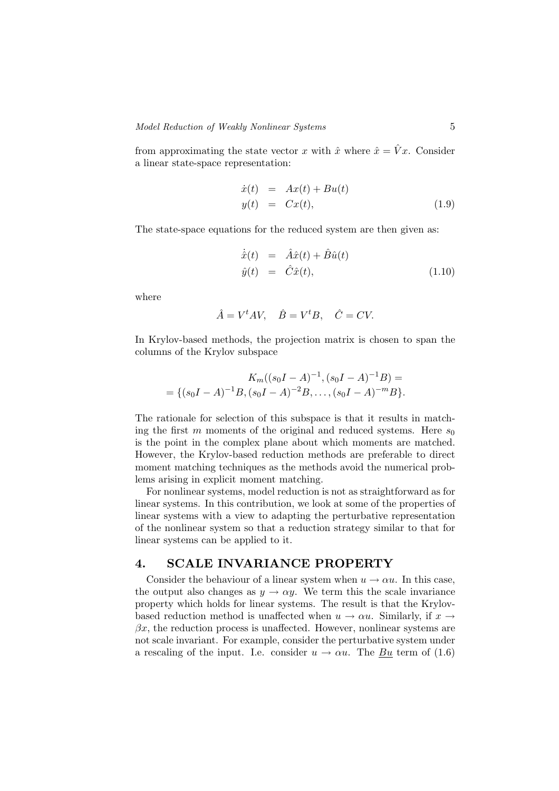from approximating the state vector x with  $\hat{x}$  where  $\hat{x} = \hat{V}x$ . Consider a linear state-space representation:

$$
\begin{array}{rcl}\n\dot{x}(t) & = & Ax(t) + Bu(t) \\
y(t) & = & Cx(t),\n\end{array} \tag{1.9}
$$

The state-space equations for the reduced system are then given as:

$$
\dot{\hat{x}}(t) = \hat{A}\hat{x}(t) + \hat{B}\hat{u}(t) \n\hat{y}(t) = \hat{C}\hat{x}(t),
$$
\n(1.10)

where

$$
\hat{A} = V^t A V, \quad \hat{B} = V^t B, \quad \hat{C} = CV.
$$

In Krylov-based methods, the projection matrix is chosen to span the columns of the Krylov subspace

$$
K_m((s_0I - A)^{-1}, (s_0I - A)^{-1}B) =
$$
  
= { $(s_0I - A)^{-1}B, (s_0I - A)^{-2}B, ..., (s_0I - A)^{-m}B$ }

The rationale for selection of this subspace is that it results in matching the first m moments of the original and reduced systems. Here  $s_0$ is the point in the complex plane about which moments are matched. However, the Krylov-based reduction methods are preferable to direct moment matching techniques as the methods avoid the numerical problems arising in explicit moment matching.

For nonlinear systems, model reduction is not as straightforward as for linear systems. In this contribution, we look at some of the properties of linear systems with a view to adapting the perturbative representation of the nonlinear system so that a reduction strategy similar to that for linear systems can be applied to it.

## 4. SCALE INVARIANCE PROPERTY

Consider the behaviour of a linear system when  $u \to \alpha u$ . In this case, the output also changes as  $y \to \alpha y$ . We term this the scale invariance property which holds for linear systems. The result is that the Krylovbased reduction method is unaffected when  $u \to \alpha u$ . Similarly, if  $x \to$  $\beta x$ , the reduction process is unaffected. However, nonlinear systems are not scale invariant. For example, consider the perturbative system under a rescaling of the input. I.e. consider  $u \to \alpha u$ . The Bu term of (1.6)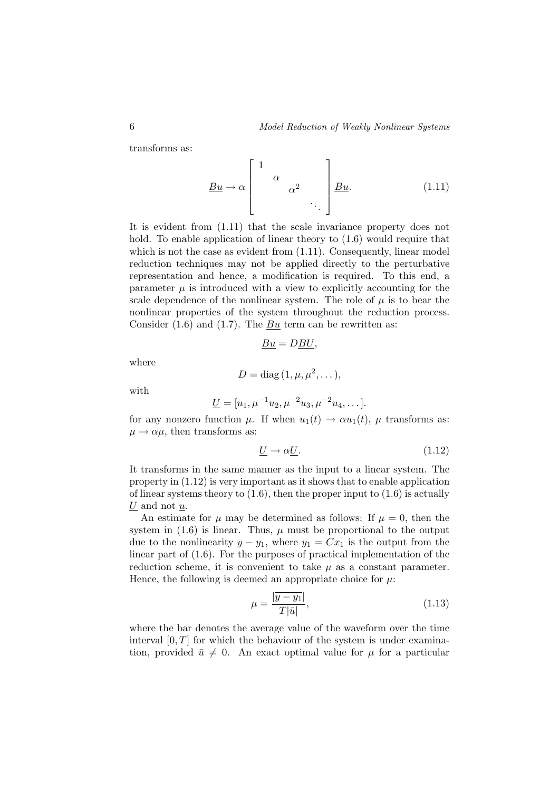transforms as:

$$
\underline{Bu} \to \alpha \begin{bmatrix} 1 & & & \\ & \alpha & & \\ & & \alpha^2 & \\ & & & \ddots \end{bmatrix} \underline{Bu}.
$$
 (1.11)

It is evident from (1.11) that the scale invariance property does not hold. To enable application of linear theory to  $(1.6)$  would require that which is not the case as evident from  $(1.11)$ . Consequently, linear model reduction techniques may not be applied directly to the perturbative representation and hence, a modification is required. To this end, a parameter  $\mu$  is introduced with a view to explicitly accounting for the scale dependence of the nonlinear system. The role of  $\mu$  is to bear the nonlinear properties of the system throughout the reduction process. Consider  $(1.6)$  and  $(1.7)$ . The Bu term can be rewritten as:

$$
\underline{Bu} = D\underline{BU},
$$

where

$$
D = \text{diag}(1, \mu, \mu^2, \dots),
$$

with

$$
\underline{U} = [u_1, \mu^{-1} u_2, \mu^{-2} u_3, \mu^{-2} u_4, \dots].
$$

for any nonzero function  $\mu$ . If when  $u_1(t) \to \alpha u_1(t)$ ,  $\mu$  transforms as:  $\mu \rightarrow \alpha \mu$ , then transforms as:

$$
\underline{U} \to \alpha \underline{U}.\tag{1.12}
$$

It transforms in the same manner as the input to a linear system. The property in (1.12) is very important as it shows that to enable application of linear systems theory to  $(1.6)$ , then the proper input to  $(1.6)$  is actually  $U$  and not  $u$ .

An estimate for  $\mu$  may be determined as follows: If  $\mu = 0$ , then the system in  $(1.6)$  is linear. Thus,  $\mu$  must be proportional to the output due to the nonlinearity  $y - y_1$ , where  $y_1 = Cx_1$  is the output from the linear part of (1.6). For the purposes of practical implementation of the reduction scheme, it is convenient to take  $\mu$  as a constant parameter. Hence, the following is deemed an appropriate choice for  $\mu$ :

$$
\mu = \frac{|\overline{y - y_1}|}{T|\bar{u}|},\tag{1.13}
$$

where the bar denotes the average value of the waveform over the time interval  $[0, T]$  for which the behaviour of the system is under examination, provided  $\bar{u} \neq 0$ . An exact optimal value for  $\mu$  for a particular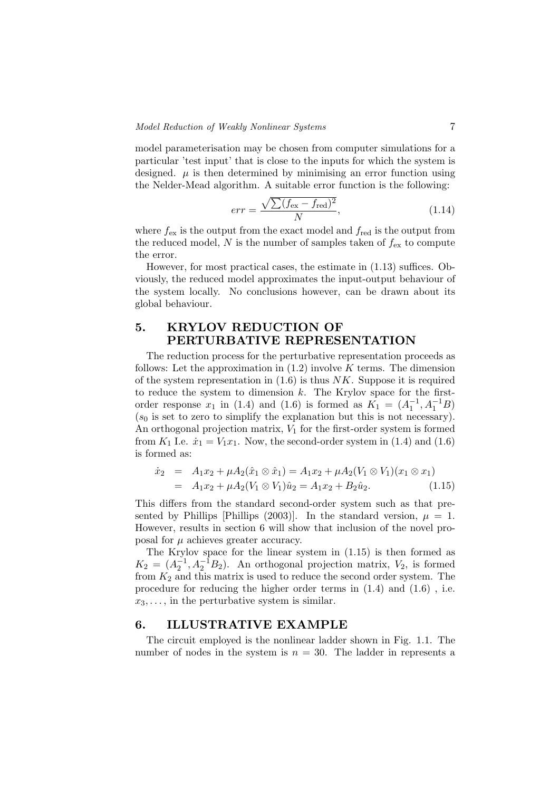model parameterisation may be chosen from computer simulations for a particular 'test input' that is close to the inputs for which the system is designed.  $\mu$  is then determined by minimising an error function using the Nelder-Mead algorithm. A suitable error function is the following:

$$
err = \frac{\sqrt{\sum (f_{\text{ex}} - f_{\text{red}})^2}}{N},\tag{1.14}
$$

where  $f_{\text{ex}}$  is the output from the exact model and  $f_{\text{red}}$  is the output from the reduced model,  $N$  is the number of samples taken of  $f_{\text{ex}}$  to compute the error.

However, for most practical cases, the estimate in (1.13) suffices. Obviously, the reduced model approximates the input-output behaviour of the system locally. No conclusions however, can be drawn about its global behaviour.

## 5. KRYLOV REDUCTION OF PERTURBATIVE REPRESENTATION

The reduction process for the perturbative representation proceeds as follows: Let the approximation in  $(1.2)$  involve K terms. The dimension of the system representation in  $(1.6)$  is thus NK. Suppose it is required to reduce the system to dimension  $k$ . The Krylov space for the firstorder response  $x_1$  in (1.4) and (1.6) is formed as  $K_1 = (A_1^{-1}, A_1^{-1}B)$  $(s_0$  is set to zero to simplify the explanation but this is not necessary). An orthogonal projection matrix,  $V_1$  for the first-order system is formed from  $K_1$  I.e.  $\dot{x}_1 = V_1 x_1$ . Now, the second-order system in (1.4) and (1.6) is formed as:

$$
\dot{x}_2 = A_1 x_2 + \mu A_2 (\hat{x}_1 \otimes \hat{x}_1) = A_1 x_2 + \mu A_2 (V_1 \otimes V_1)(x_1 \otimes x_1)
$$
  
=  $A_1 x_2 + \mu A_2 (V_1 \otimes V_1) \hat{u}_2 = A_1 x_2 + B_2 \hat{u}_2.$  (1.15)

This differs from the standard second-order system such as that presented by Phillips [Phillips (2003)]. In the standard version,  $\mu = 1$ . However, results in section 6 will show that inclusion of the novel proposal for  $\mu$  achieves greater accuracy.

The Krylov space for the linear system in (1.15) is then formed as  $K_2 = (A_2^{-1}, A_2^{-1}B_2)$ . An orthogonal projection matrix,  $V_2$ , is formed from  $K_2$  and this matrix is used to reduce the second order system. The procedure for reducing the higher order terms in (1.4) and (1.6) , i.e.  $x_3, \ldots$ , in the perturbative system is similar.

### 6. ILLUSTRATIVE EXAMPLE

The circuit employed is the nonlinear ladder shown in Fig. 1.1. The number of nodes in the system is  $n = 30$ . The ladder in represents a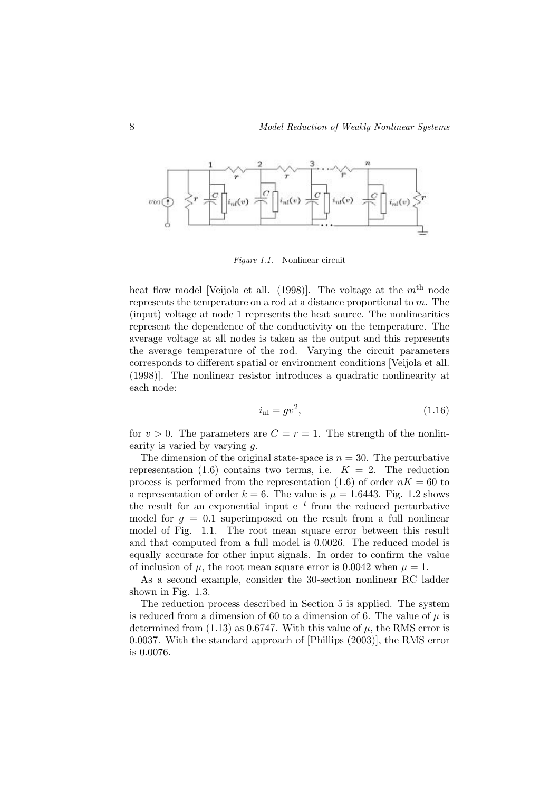

Figure 1.1. Nonlinear circuit

heat flow model [Veijola et all. (1998)]. The voltage at the  $m<sup>th</sup>$  node represents the temperature on a rod at a distance proportional to m. The (input) voltage at node 1 represents the heat source. The nonlinearities represent the dependence of the conductivity on the temperature. The average voltage at all nodes is taken as the output and this represents the average temperature of the rod. Varying the circuit parameters corresponds to different spatial or environment conditions [Veijola et all. (1998)]. The nonlinear resistor introduces a quadratic nonlinearity at each node:

$$
i_{\rm nl} = gv^2,\tag{1.16}
$$

for  $v > 0$ . The parameters are  $C = r = 1$ . The strength of the nonlinearity is varied by varying  $q$ .

The dimension of the original state-space is  $n = 30$ . The perturbative representation (1.6) contains two terms, i.e.  $K = 2$ . The reduction process is performed from the representation (1.6) of order  $nK = 60$  to a representation of order  $k = 6$ . The value is  $\mu = 1.6443$ . Fig. 1.2 shows the result for an exponential input  $e^{-t}$  from the reduced perturbative model for  $q = 0.1$  superimposed on the result from a full nonlinear model of Fig. 1.1. The root mean square error between this result and that computed from a full model is 0.0026. The reduced model is equally accurate for other input signals. In order to confirm the value of inclusion of  $\mu$ , the root mean square error is 0.0042 when  $\mu = 1$ .

As a second example, consider the 30-section nonlinear RC ladder shown in Fig. 1.3.

The reduction process described in Section 5 is applied. The system is reduced from a dimension of 60 to a dimension of 6. The value of  $\mu$  is determined from (1.13) as 0.6747. With this value of  $\mu$ , the RMS error is 0.0037. With the standard approach of [Phillips (2003)], the RMS error is 0.0076.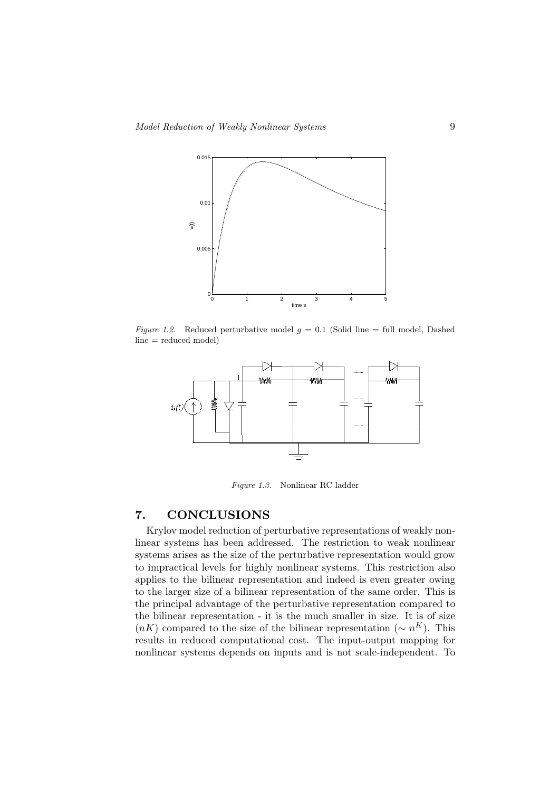

Figure 1.2. Reduced perturbative model  $g = 0.1$  (Solid line = full model, Dashed  $line = reduced model)$ 



Figure 1.3. Nonlinear RC ladder

## 7. CONCLUSIONS

Krylov model reduction of perturbative representations of weakly nonlinear systems has been addressed. The restriction to weak nonlinear systems arises as the size of the perturbative representation would grow to impractical levels for highly nonlinear systems. This restriction also applies to the bilinear representation and indeed is even greater owing to the larger size of a bilinear representation of the same order. This is the principal advantage of the perturbative representation compared to the bilinear representation - it is the much smaller in size. It is of size  $(nK)$  compared to the size of the bilinear representation  $({\sim} n^K)$ . This results in reduced computational cost. The input-output mapping for nonlinear systems depends on inputs and is not scale-independent. To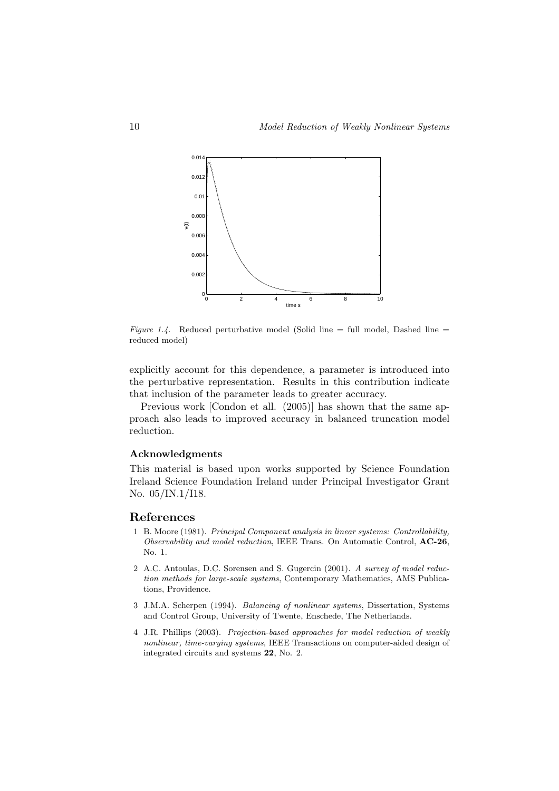

Figure 1.4. Reduced perturbative model (Solid line = full model, Dashed line = reduced model)

explicitly account for this dependence, a parameter is introduced into the perturbative representation. Results in this contribution indicate that inclusion of the parameter leads to greater accuracy.

Previous work [Condon et all. (2005)] has shown that the same approach also leads to improved accuracy in balanced truncation model reduction.

#### Acknowledgments

This material is based upon works supported by Science Foundation Ireland Science Foundation Ireland under Principal Investigator Grant No. 05/IN.1/I18.

### References

- 1 B. Moore (1981). Principal Component analysis in linear systems: Controllability, Observability and model reduction, IEEE Trans. On Automatic Control, AC-26, No. 1.
- 2 A.C. Antoulas, D.C. Sorensen and S. Gugercin (2001). A survey of model reduction methods for large-scale systems, Contemporary Mathematics, AMS Publications, Providence.
- 3 J.M.A. Scherpen (1994). Balancing of nonlinear systems, Dissertation, Systems and Control Group, University of Twente, Enschede, The Netherlands.
- 4 J.R. Phillips (2003). Projection-based approaches for model reduction of weakly nonlinear, time-varying systems, IEEE Transactions on computer-aided design of integrated circuits and systems 22, No. 2.